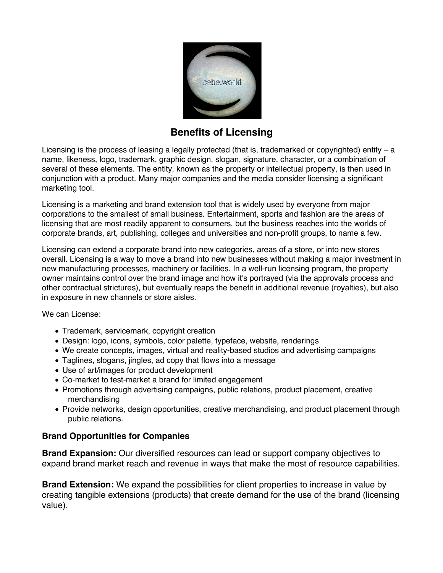

## **Benefits of Licensing**

Licensing is the process of leasing a legally protected (that is, trademarked or copyrighted) entity  $-a$ name, likeness, logo, trademark, graphic design, slogan, signature, character, or a combination of several of these elements. The entity, known as the property or intellectual property, is then used in conjunction with a product. Many major companies and the media consider licensing a significant marketing tool.

Licensing is a marketing and brand extension tool that is widely used by everyone from major corporations to the smallest of small business. Entertainment, sports and fashion are the areas of licensing that are most readily apparent to consumers, but the business reaches into the worlds of corporate brands, art, publishing, colleges and universities and non-profit groups, to name a few.

Licensing can extend a corporate brand into new categories, areas of a store, or into new stores overall. Licensing is a way to move a brand into new businesses without making a major investment in new manufacturing processes, machinery or facilities. In a well-run licensing program, the property owner maintains control over the brand image and how it's portrayed (via the approvals process and other contractual strictures), but eventually reaps the benefit in additional revenue (royalties), but also in exposure in new channels or store aisles.

We can License:

- Trademark, servicemark, copyright creation
- Design: logo, icons, symbols, color palette, typeface, website, renderings
- We create concepts, images, virtual and reality-based studios and advertising campaigns
- Taglines, slogans, jingles, ad copy that flows into a message
- Use of art/images for product development
- Co-market to test-market a brand for limited engagement
- Promotions through advertising campaigns, public relations, product placement, creative merchandising
- Provide networks, design opportunities, creative merchandising, and product placement through public relations.

## **Brand Opportunities for Companies**

**Brand Expansion:** Our diversified resources can lead or support company objectives to expand brand market reach and revenue in ways that make the most of resource capabilities.

**Brand Extension:** We expand the possibilities for client properties to increase in value by creating tangible extensions (products) that create demand for the use of the brand (licensing value).